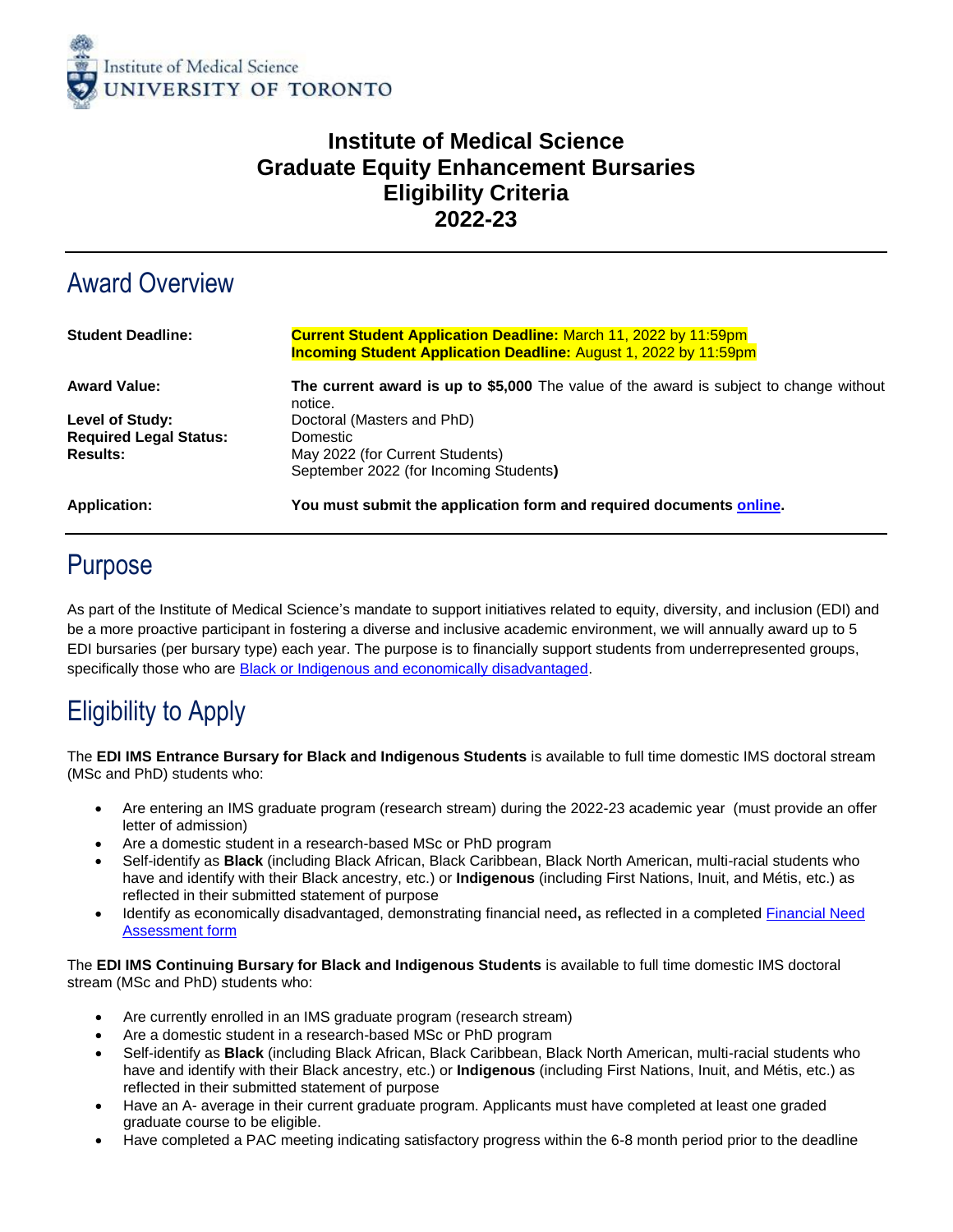

#### **Institute of Medical Science Graduate Equity Enhancement Bursaries Eligibility Criteria 2022-23**

## Award Overview

| <b>Student Deadline:</b>      | <b>Current Student Application Deadline: March 11, 2022 by 11:59pm</b><br><b>Incoming Student Application Deadline: August 1, 2022 by 11:59pm</b> |
|-------------------------------|---------------------------------------------------------------------------------------------------------------------------------------------------|
| <b>Award Value:</b>           | The current award is up to \$5,000 The value of the award is subject to change without<br>notice.                                                 |
| Level of Study:               | Doctoral (Masters and PhD)                                                                                                                        |
| <b>Required Legal Status:</b> | Domestic                                                                                                                                          |
| <b>Results:</b>               | May 2022 (for Current Students)                                                                                                                   |
|                               | September 2022 (for Incoming Students)                                                                                                            |
| Application:                  | You must submit the application form and required documents online.                                                                               |

## Purpose

As part of the Institute of Medical Science's mandate to support initiatives related to equity, diversity, and inclusion (EDI) and be a more proactive participant in fostering a diverse and inclusive academic environment, we will annually award up to 5 EDI bursaries (per bursary type) each year. The purpose is to financially support students from underrepresented groups, specifically those who are **Black or Indigenous and economically disadvantaged**.

# Eligibility to Apply

The **EDI IMS Entrance Bursary for Black and Indigenous Students** is available to full time domestic IMS doctoral stream (MSc and PhD) students who:

- Are entering an IMS graduate program (research stream) during the 2022-23 academic year (must provide an offer letter of admission)
- Are a domestic student in a research-based MSc or PhD program
- Self-identify as **Black** (including Black African, Black Caribbean, Black North American, multi-racial students who have and identify with their Black ancestry, etc.) or **Indigenous** (including First Nations, Inuit, and Métis, etc.) as reflected in their submitted statement of purpose
- Identify as economically disadvantaged, demonstrating financial need**,** as reflected in a completed [Financial Need](https://www.sgs.utoronto.ca/wp-content/uploads/sites/253/2020/03/SGS-Financial-Need-Assessment-Form-OSOTF-w-Guide.pdf)  [Assessment form](https://www.sgs.utoronto.ca/wp-content/uploads/sites/253/2020/03/SGS-Financial-Need-Assessment-Form-OSOTF-w-Guide.pdf)

The **EDI IMS Continuing Bursary for Black and Indigenous Students** is available to full time domestic IMS doctoral stream (MSc and PhD) students who:

- Are currently enrolled in an IMS graduate program (research stream)
- Are a domestic student in a research-based MSc or PhD program
- Self-identify as **Black** (including Black African, Black Caribbean, Black North American, multi-racial students who have and identify with their Black ancestry, etc.) or **Indigenous** (including First Nations, Inuit, and Métis, etc.) as reflected in their submitted statement of purpose
- Have an A- average in their current graduate program. Applicants must have completed at least one graded graduate course to be eligible.
- Have completed a PAC meeting indicating satisfactory progress within the 6-8 month period prior to the deadline